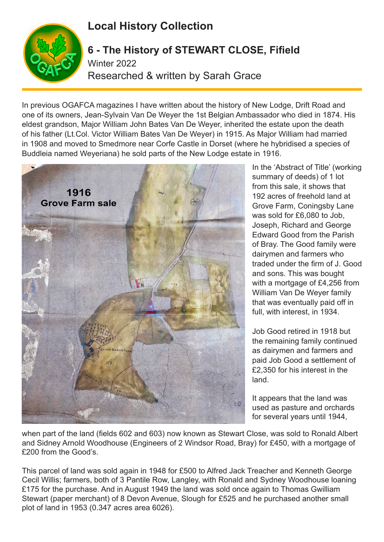## **Local History Collection**



## **6 - The History of STEWART CLOSE, Fifield** Winter 2022 Researched & written by Sarah Grace

In previous OGAFCA magazines I have written about the history of New Lodge, Drift Road and one of its owners, Jean-Sylvain Van De Weyer the 1st Belgian Ambassador who died in 1874. His eldest grandson, Major William John Bates Van De Weyer, inherited the estate upon the death of his father (Lt.Col. Victor William Bates Van De Weyer) in 1915. As Major William had married in 1908 and moved to Smedmore near Corfe Castle in Dorset (where he hybridised a species of Buddleia named Weyeriana) he sold parts of the New Lodge estate in 1916.



In the 'Abstract of Title' (working summary of deeds) of 1 lot from this sale, it shows that 192 acres of freehold land at Grove Farm, Coningsby Lane was sold for £6,080 to Job, Joseph, Richard and George Edward Good from the Parish of Bray. The Good family were dairymen and farmers who traded under the firm of J. Good and sons. This was bought with a mortgage of £4,256 from William Van De Weyer family that was eventually paid off in full, with interest, in 1934.

Job Good retired in 1918 but the remaining family continued as dairymen and farmers and paid Job Good a settlement of £2,350 for his interest in the land.

It appears that the land was used as pasture and orchards for several years until 1944,

when part of the land (fields 602 and 603) now known as Stewart Close, was sold to Ronald Albert and Sidney Arnold Woodhouse (Engineers of 2 Windsor Road, Bray) for £450, with a mortgage of £200 from the Good's.

This parcel of land was sold again in 1948 for £500 to Alfred Jack Treacher and Kenneth George Cecil Willis; farmers, both of 3 Pantile Row, Langley, with Ronald and Sydney Woodhouse loaning £175 for the purchase. And in August 1949 the land was sold once again to Thomas Gwilliam Stewart (paper merchant) of 8 Devon Avenue, Slough for £525 and he purchased another small plot of land in 1953 (0.347 acres area 6026).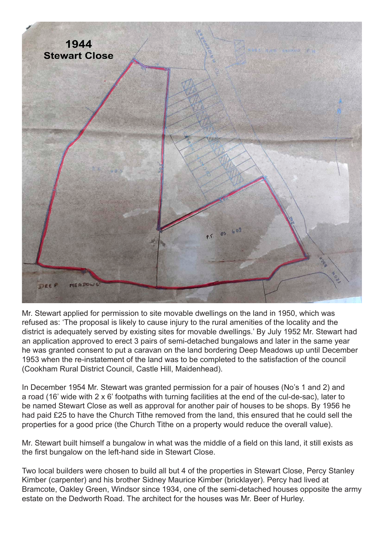

Mr. Stewart applied for permission to site movable dwellings on the land in 1950, which was refused as: 'The proposal is likely to cause injury to the rural amenities of the locality and the district is adequately served by existing sites for movable dwellings.' By July 1952 Mr. Stewart had an application approved to erect 3 pairs of semi-detached bungalows and later in the same year he was granted consent to put a caravan on the land bordering Deep Meadows up until December 1953 when the re-instatement of the land was to be completed to the satisfaction of the council (Cookham Rural District Council, Castle Hill, Maidenhead).

In December 1954 Mr. Stewart was granted permission for a pair of houses (No's 1 and 2) and a road (16' wide with 2 x 6' footpaths with turning facilities at the end of the cul-de-sac), later to be named Stewart Close as well as approval for another pair of houses to be shops. By 1956 he had paid £25 to have the Church Tithe removed from the land, this ensured that he could sell the properties for a good price (the Church Tithe on a property would reduce the overall value).

Mr. Stewart built himself a bungalow in what was the middle of a field on this land, it still exists as the first bungalow on the left-hand side in Stewart Close.

Two local builders were chosen to build all but 4 of the properties in Stewart Close, Percy Stanley Kimber (carpenter) and his brother Sidney Maurice Kimber (bricklayer). Percy had lived at Bramcote, Oakley Green, Windsor since 1934, one of the semi-detached houses opposite the army estate on the Dedworth Road. The architect for the houses was Mr. Beer of Hurley.